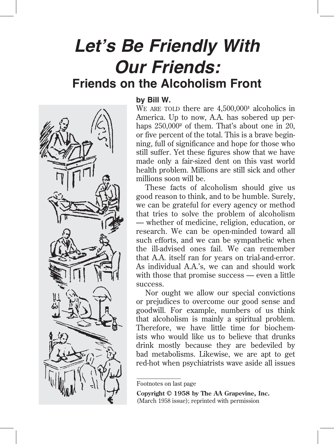## **Let's Be Friendly With Our Friends: Friends on the Alcoholism Front**



## **by Bill W.**

We are to there are  $4,500,000<sup>1</sup>$  alcoholics in America. Up to now, A.A. has sobered up perhaps  $250,000^2$  of them. That's about one in 20, or five percent of the total. This is a brave beginning, full of significance and hope for those who still suffer. Yet these figures show that we have made only a fair-sized dent on this vast world health problem. Millions are still sick and other millions soon will be.

These facts of alcoholism should give us good reason to think, and to be humble. Surely, we can be grateful for every agency or method that tries to solve the problem of alcoholism — whether of medicine, religion, education, or research. We can be open-minded toward all such efforts, and we can be sympathetic when the ill-advised ones fail. We can remember that A.A. itself ran for years on trial-and-error. As individual A.A.'s, we can and should work with those that promise success — even a little success.

Nor ought we allow our special convictions or prejudices to overcome our good sense and goodwill. For example, numbers of us think that alcoholism is mainly a spiritual problem. Therefore, we have little time for biochemists who would like us to believe that drunks drink mostly because they are bedeviled by bad metabolisms. Likewise, we are apt to get red-hot when psychiatrists wave aside all issues

**Copyright © 1958 by The AA Grapevine, Inc.** (March 1958 issue); reprinted with permission

Footnotes on last page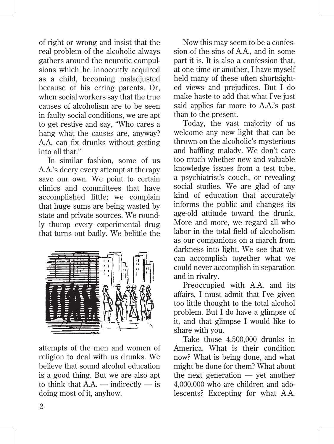of right or wrong and insist that the real problem of the alcoholic always gathers around the neurotic compulsions which he innocently acquired as a child, becoming maladjusted because of his erring parents. Or, when social workers say that the true causes of alcoholism are to be seen in faulty social conditions, we are apt to get restive and say, "Who cares a hang what the causes are, anyway? A.A. can fix drunks without getting into all that."

In similar fashion, some of us A.A.'s decry every attempt at therapy save our own. We point to certain clinics and committees that have accomplished little; we complain that huge sums are being wasted by state and private sources. We roundly thump every experimental drug that turns out badly. We belittle the



attempts of the men and women of religion to deal with us drunks. We believe that sound alcohol education is a good thing. But we are also apt to think that  $A.A.$  — indirectly — is doing most of it, anyhow.

Now this may seem to be a confession of the sins of A.A., and in some part it is. It is also a confession that, at one time or another, I have myself held many of these often shortsighted views and prejudices. But I do make haste to add that what I've just said applies far more to A.A.'s past than to the present.

Today, the vast majority of us welcome any new light that can be thrown on the alcoholic's mysterious and baffling malady. We don't care too much whether new and valuable knowledge issues from a test tube, a psychiatrist's couch, or revealing social studies. We are glad of any kind of education that accurately informs the public and changes its age-old attitude toward the drunk. More and more, we regard all who labor in the total field of alcoholism as our companions on a march from darkness into light. We see that we can accomplish together what we could never accomplish in separation and in rivalry.

Preoccupied with A.A. and its affairs, I must admit that I've given too little thought to the total alcohol problem. But I do have a glimpse of it, and that glimpse I would like to share with you.

Take those 4,500,000 drunks in America. What is their condition now? What is being done, and what might be done for them? What about the next generation — yet another 4,000,000 who are children and adolescents? Excepting for what A.A.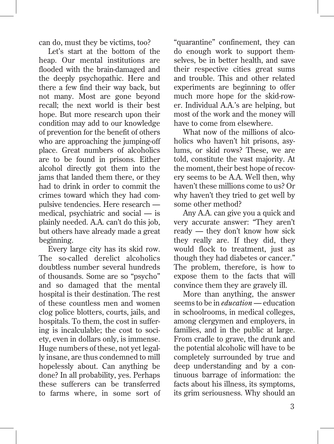can do, must they be victims, too?

Let's start at the bottom of the heap. Our mental institutions are flooded with the brain-damaged and the deeply psychopathic. Here and there a few find their way back, but not many. Most are gone beyond recall; the next world is their best hope. But more research upon their condition may add to our knowledge of prevention for the benefit of others who are approaching the jumping-off place. Great numbers of alcoholics are to be found in prisons. Either alcohol directly got them into the jams that landed them there, or they had to drink in order to commit the crimes toward which they had compulsive tendencies. Here research medical, psychiatric and social — is plainly needed. A.A. can't do this job, but others have already made a great beginning.

Every large city has its skid row. The so-called derelict alcoholics doubtless number several hundreds of thousands. Some are so "psycho" and so damaged that the mental hospital is their destination. The rest of these countless men and women clog police blotters, courts, jails, and hospitals. To them, the cost in suffering is incalculable; the cost to society, even in dollars only, is immense. Huge numbers of these, not yet legally insane, are thus condemned to mill hopelessly about. Can anything be done? In all probability, yes. Perhaps these sufferers can be transferred to farms where, in some sort of "quarantine" confinement, they can do enough work to support themselves, be in better health, and save their respective cities great sums and trouble. This and other related experiments are beginning to offer much more hope for the skid-rower. Individual A.A.'s are helping, but most of the work and the money will have to come from elsewhere.

What now of the millions of alcoholics who haven't hit prisons, asylums, or skid rows? These, we are told, constitute the vast majority. At the moment, their best hope of recovery seems to be A.A. Well then, why haven't these millions come to us? Or why haven't they tried to get well by some other method?

Any A.A. can give you a quick and very accurate answer: "They aren't ready — they don't know how sick they really are. If they did, they would flock to treatment, just as though they had diabetes or cancer." The problem, therefore, is how to expose them to the facts that will convince them they are gravely ill.

More than anything, the answer seems to be in *education —* education in schoolrooms, in medical colleges, among clergymen and employers, in families, and in the public at large. From cradle to grave, the drunk and the potential alcoholic will have to be completely surrounded by true and deep understanding and by a continuous barrage of information: the facts about his illness, its symptoms, its grim seriousness. Why should an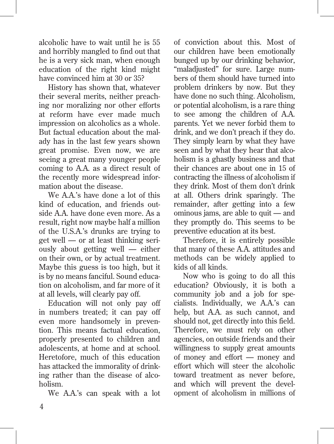alcoholic have to wait until he is 55 and horribly mangled to find out that he is a very sick man, when enough education of the right kind might have convinced him at 30 or 35?

History has shown that, whatever their several merits, neither preaching nor moralizing nor other efforts at reform have ever made much impression on alcoholics as a whole. But factual education about the malady has in the last few years shown great promise. Even now, we are seeing a great many younger people coming to A.A. as a direct result of the recently more widespread information about the disease.

We A.A.'s have done a lot of this kind of education, and friends outside A.A. have done even more. As a result, right now maybe half a million of the U.S.A.'s drunks are trying to get well — or at least thinking seriously about getting well — either on their own, or by actual treatment. Maybe this guess is too high, but it is by no means fanciful. Sound education on alcoholism, and far more of it at all levels, will clearly pay off.

Education will not only pay off in numbers treated; it can pay off even more handsomely in prevention. This means factual education, properly presented to children and adolescents, at home and at school. Heretofore, much of this education has attacked the immorality of drinking rather than the disease of alcoholism.

We A.A.'s can speak with a lot

of conviction about this. Most of our children have been emotionally bunged up by our drinking behavior, "maladjusted" for sure. Large numbers of them should have turned into problem drinkers by now. But they have done no such thing. Alcoholism, or potential alcoholism, is a rare thing to see among the children of A.A. parents. Yet we never forbid them to drink, and we don't preach if they do. They simply learn by what they have seen and by what they hear that alcoholism is a ghastly business and that their chances are about one in 15 of contracting the illness of alcoholism if they drink. Most of them don't drink at all. Others drink sparingly. The remainder, after getting into a few ominous jams, are able to quit — and they promptly do. This seems to be preventive education at its best.

Therefore, it is entirely possible that many of these A.A. attitudes and methods can be widely applied to kids of all kinds.

Now who is going to do all this education? Obviously, it is both a community job and a job for specialists. Individually, we A.A.'s can help, but A.A. as such cannot, and should not, get directly into this field. Therefore, we must rely on other agencies, on outside friends and their willingness to supply great amounts of money and effort — money and effort which will steer the alcoholic toward treatment as never before, and which will prevent the development of alcoholism in millions of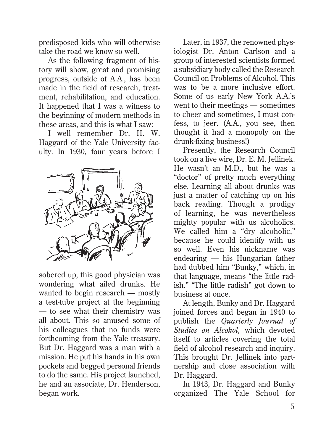predisposed kids who will otherwise take the road we know so well.

As the following fragment of history will show, great and promising progress, outside of A.A., has been made in the field of research, treatment, rehabilitation, and education. It happened that I was a witness to the beginning of modern methods in these areas, and this is what I saw:

I well remember Dr. H. W. Haggard of the Yale University faculty. In 1930, four years before I



sobered up, this good physician was wondering what ailed drunks. He wanted to begin research — mostly a test-tube project at the beginning — to see what their chemistry was all about. This so amused some of his colleagues that no funds were forthcoming from the Yale treasury. But Dr. Haggard was a man with a mission. He put his hands in his own pockets and begged personal friends to do the same. His project launched, he and an associate, Dr. Henderson, began work.

Later, in 1937, the renowned physiologist Dr. Anton Carlson and a group of interested scientists formed a subsidiary body called the Research Council on Problems of Alcohol. This was to be a more inclusive effort. Some of us early New York A.A.'s went to their meetings — sometimes to cheer and sometimes, I must confess, to jeer. (A.A., you see, then thought it had a monopoly on the drunk-fixing business!)

Presently, the Research Council took on a live wire, Dr. E. M. Jellinek. He wasn't an M.D., but he was a "doctor" of pretty much everything else. Learning all about drunks was just a matter of catching up on his back reading. Though a prodigy of learning, he was nevertheless mighty popular with us alcoholics. We called him a "dry alcoholic," because he could identify with us so well. Even his nickname was endearing — his Hungarian father had dubbed him "Bunky," which, in that language, means "the little radish." "The little radish" got down to business at once.

At length, Bunky and Dr. Haggard joined forces and began in 1940 to publish the *Quarterly Journal of Studies on Alcohol,* which devoted itself to articles covering the total field of alcohol research and inquiry. This brought Dr. Jellinek into partnership and close association with Dr. Haggard.

In 1943, Dr. Haggard and Bunky organized The Yale School for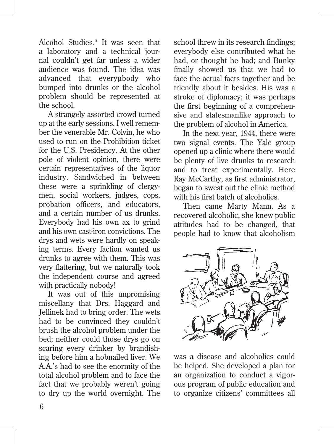Alcohol Studies.**<sup>3</sup>** It was seen that a laboratory and a technical journal couldn't get far unless a wider audience was found. The idea was advanced that everyubody who bumped into drunks or the alcohol problem should be represented at the school.

A strangely assorted crowd turned up at the early sessions. I well remember the venerable Mr. Colvin, he who used to run on the Prohibition ticket for the U.S. Presidency. At the other pole of violent opinion, there were certain representatives of the liquor industry. Sandwiched in between these were a sprinkling of clergymen, social workers, judges, cops, probation officers, and educators, and a certain number of us drunks. Everybody had his own ax to grind and his own cast-iron convictions. The drys and wets were hardly on speaking terms. Every faction wanted us drunks to agree with them. This was very flattering, but we naturally took the independent course and agreed with practically nobody!

It was out of this unpromising miscellany that Drs. Haggard and Jellinek had to bring order. The wets had to be convinced they couldn't brush the alcohol problem under the bed; neither could those drys go on scaring every drinker by brandishing before him a hobnailed liver. We A.A.'s had to see the enormity of the total alcohol problem and to face the fact that we probably weren't going to dry up the world overnight. The

school threw in its research findings; everybody else contributed what he had, or thought he had; and Bunky finally showed us that we had to face the actual facts together and be friendly about it besides. His was a stroke of diplomacy; it was perhaps the first beginning of a comprehensive and statesmanlike approach to the problem of alcohol in America.

In the next year, 1944, there were two signal events. The Yale group opened up a clinic where there would be plenty of live drunks to research and to treat experimentally. Here Ray McCarthy, as first administrator, began to sweat out the clinic method with his first batch of alcoholics.

Then came Marty Mann. As a recovered alcoholic, she knew public attitudes had to be changed, that people had to know that alcoholism



was a disease and alcoholics could be helped. She developed a plan for an organization to conduct a vigorous program of public education and to organize citizens' committees all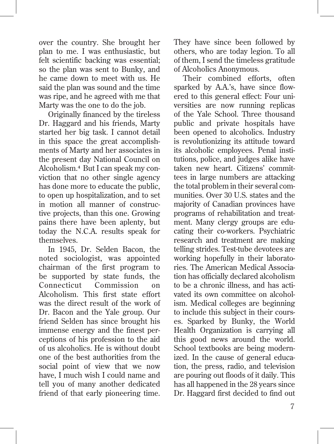over the country. She brought her plan to me. I was enthusiastic, but felt scientific backing was essential; so the plan was sent to Bunky, and he came down to meet with us. He said the plan was sound and the time was ripe, and he agreed with me that Marty was the one to do the job.

Originally financed by the tireless Dr. Haggard and his friends, Marty started her big task. I cannot detail in this space the great accomplishments of Marty and her associates in the present day National Council on Alcoholism.**4** But I can speak my conviction that no other single agency has done more to educate the public, to open up hospitalization, and to set in motion all manner of constructive projects, than this one. Growing pains there have been aplenty, but today the N.C.A. results speak for themselves.

In 1945, Dr. Selden Bacon, the noted sociologist, was appointed chairman of the first program to be supported by state funds, the Connecticut Commission on Alcoholism. This first state effort was the direct result of the work of Dr. Bacon and the Yale group. Our friend Selden has since brought his immense energy and the finest perceptions of his profession to the aid of us alcoholics. He is without doubt one of the best authorities from the social point of view that we now have, I much wish I could name and tell you of many another dedicated friend of that early pioneering time. They have since been followed by others, who are today legion. To all of them, I send the timeless gratitude of Alcoholics Anonymous.

Their combined efforts, often sparked by A.A.'s, have since flowered to this general effect: Four universities are now running replicas of the Yale School. Three thousand public and private hospitals have been opened to alcoholics. Industry is revolutionizing its attitude toward its alcoholic employees. Penal institutions, police, and judges alike have taken new heart. Citizens' committees in large numbers are attacking the total problem in their several communities. Over 30 U.S. states and the majority of Canadian provinces have programs of rehabilitation and treatment. Many clergy groups are educating their co-workers. Psychiatric research and treatment are making telling strides. Test-tube devotees are working hopefully in their laboratories. The American Medical Association has officially declared alcoholism to be a chronic illness, and has activated its own committee on alcoholism. Medical colleges are beginning to include this subject in their courses. Sparked by Bunky, the World Health Organization is carrying all this good news around the world. School textbooks are being modernized. In the cause of general education, the press, radio, and television are pouring out floods of it daily. This has all happened in the 28 years since Dr. Haggard first decided to find out